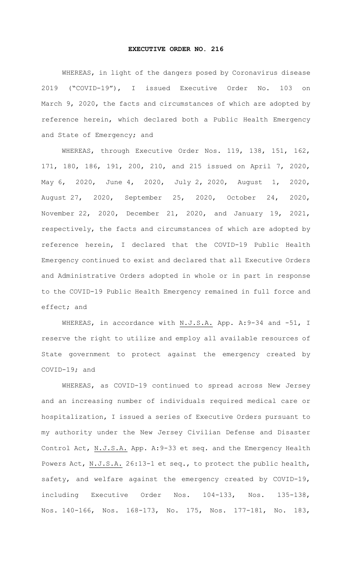## **EXECUTIVE ORDER NO. 216**

WHEREAS, in light of the dangers posed by Coronavirus disease 2019 ("COVID-19"), I issued Executive Order No. 103 on March 9, 2020, the facts and circumstances of which are adopted by reference herein, which declared both a Public Health Emergency and State of Emergency; and

WHEREAS, through Executive Order Nos. 119, 138, 151, 162, 171, 180, 186, 191, 200, 210, and 215 issued on April 7, 2020, May 6, 2020, June 4, 2020, July 2, 2020, August 1, 2020, August 27, 2020, September 25, 2020, October 24, 2020, November 22, 2020, December 21, 2020, and January 19, 2021, respectively, the facts and circumstances of which are adopted by reference herein, I declared that the COVID-19 Public Health Emergency continued to exist and declared that all Executive Orders and Administrative Orders adopted in whole or in part in response to the COVID-19 Public Health Emergency remained in full force and effect; and

WHEREAS, in accordance with N.J.S.A. App. A: 9-34 and -51, I reserve the right to utilize and employ all available resources of State government to protect against the emergency created by COVID-19; and

WHEREAS, as COVID-19 continued to spread across New Jersey and an increasing number of individuals required medical care or hospitalization, I issued a series of Executive Orders pursuant to my authority under the New Jersey Civilian Defense and Disaster Control Act, N.J.S.A. App. A: 9-33 et seq. and the Emergency Health Powers Act, N.J.S.A. 26:13-1 et seq., to protect the public health, safety, and welfare against the emergency created by COVID-19, including Executive Order Nos. 104-133, Nos. 135-138, Nos. 140-166, Nos. 168-173, No. 175, Nos. 177-181, No. 183,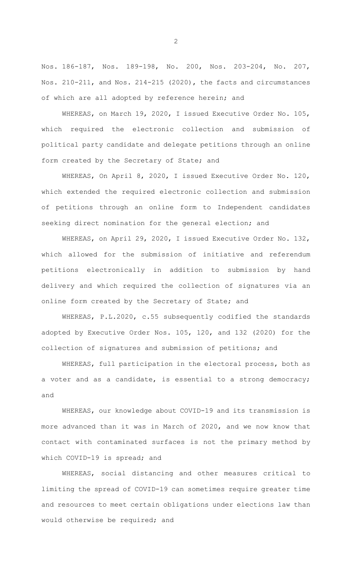Nos. 186-187, Nos. 189-198, No. 200, Nos. 203-204, No. 207, Nos. 210-211, and Nos. 214-215 (2020), the facts and circumstances of which are all adopted by reference herein; and

WHEREAS, on March 19, 2020, I issued Executive Order No. 105, which required the electronic collection and submission of political party candidate and delegate petitions through an online form created by the Secretary of State; and

WHEREAS, On April 8, 2020, I issued Executive Order No. 120, which extended the required electronic collection and submission of petitions through an online form to Independent candidates seeking direct nomination for the general election; and

WHEREAS, on April 29, 2020, I issued Executive Order No. 132, which allowed for the submission of initiative and referendum petitions electronically in addition to submission by hand delivery and which required the collection of signatures via an online form created by the Secretary of State; and

WHEREAS, P.L.2020, c.55 subsequently codified the standards adopted by Executive Order Nos. 105, 120, and 132 (2020) for the collection of signatures and submission of petitions; and

WHEREAS, full participation in the electoral process, both as a voter and as a candidate, is essential to a strong democracy; and

WHEREAS, our knowledge about COVID-19 and its transmission is more advanced than it was in March of 2020, and we now know that contact with contaminated surfaces is not the primary method by which COVID-19 is spread; and

WHEREAS, social distancing and other measures critical to limiting the spread of COVID-19 can sometimes require greater time and resources to meet certain obligations under elections law than would otherwise be required; and

2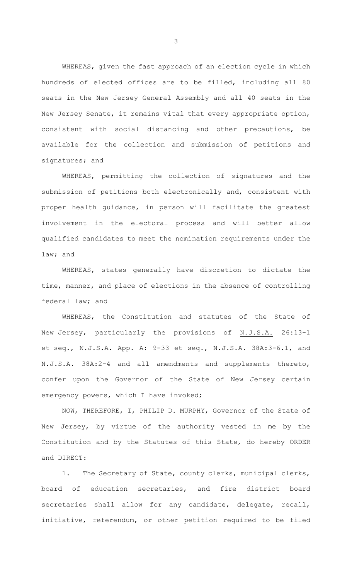WHEREAS, given the fast approach of an election cycle in which hundreds of elected offices are to be filled, including all 80 seats in the New Jersey General Assembly and all 40 seats in the New Jersey Senate, it remains vital that every appropriate option, consistent with social distancing and other precautions, be available for the collection and submission of petitions and signatures; and

WHEREAS, permitting the collection of signatures and the submission of petitions both electronically and, consistent with proper health guidance, in person will facilitate the greatest involvement in the electoral process and will better allow qualified candidates to meet the nomination requirements under the law; and

WHEREAS, states generally have discretion to dictate the time, manner, and place of elections in the absence of controlling federal law; and

WHEREAS, the Constitution and statutes of the State of New Jersey, particularly the provisions of N.J.S.A. 26:13-1 et seq., N.J.S.A. App. A: 9-33 et seq., N.J.S.A. 38A:3-6.1, and N.J.S.A. 38A:2-4 and all amendments and supplements thereto, confer upon the Governor of the State of New Jersey certain emergency powers, which I have invoked;

NOW, THEREFORE, I, PHILIP D. MURPHY, Governor of the State of New Jersey, by virtue of the authority vested in me by the Constitution and by the Statutes of this State, do hereby ORDER and DIRECT:

1. The Secretary of State, county clerks, municipal clerks, board of education secretaries, and fire district board secretaries shall allow for any candidate, delegate, recall, initiative, referendum, or other petition required to be filed

3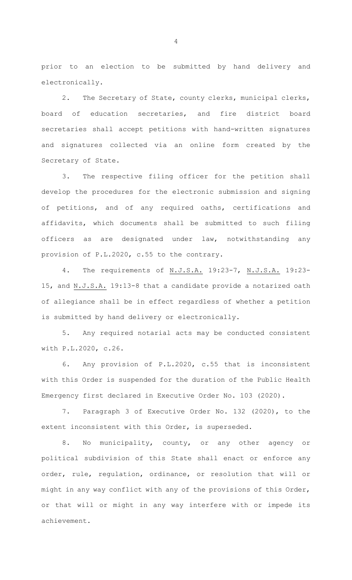prior to an election to be submitted by hand delivery and electronically.

2. The Secretary of State, county clerks, municipal clerks, board of education secretaries, and fire district board secretaries shall accept petitions with hand-written signatures and signatures collected via an online form created by the Secretary of State.

3. The respective filing officer for the petition shall develop the procedures for the electronic submission and signing of petitions, and of any required oaths, certifications and affidavits, which documents shall be submitted to such filing officers as are designated under law, notwithstanding any provision of P.L.2020, c.55 to the contrary.

4. The requirements of N.J.S.A. 19:23-7, N.J.S.A. 19:23-15, and N.J.S.A. 19:13-8 that a candidate provide a notarized oath of allegiance shall be in effect regardless of whether a petition is submitted by hand delivery or electronically.

5. Any required notarial acts may be conducted consistent with P.L.2020, c.26.

6. Any provision of P.L.2020, c.55 that is inconsistent with this Order is suspended for the duration of the Public Health Emergency first declared in Executive Order No. 103 (2020).

7. Paragraph 3 of Executive Order No. 132 (2020), to the extent inconsistent with this Order, is superseded.

8. No municipality, county, or any other agency or political subdivision of this State shall enact or enforce any order, rule, regulation, ordinance, or resolution that will or might in any way conflict with any of the provisions of this Order, or that will or might in any way interfere with or impede its achievement.

4